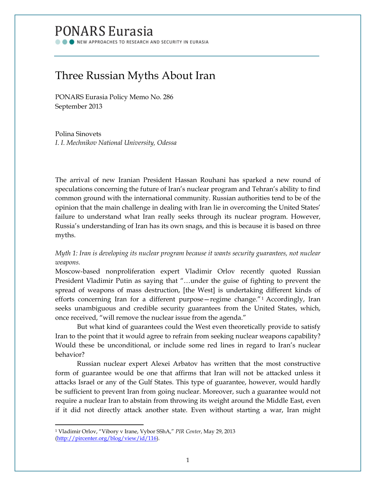# **PONARS Eurasia**

NEW APPROACHES TO RESEARCH AND SECURITY IN EURASIA

## Three Russian Myths About Iran

PONARS Eurasia Policy Memo No. 286 September 2013

Polina Sinovets *I. I. Mechnikov National University, Odessa* 

The arrival of new Iranian President Hassan Rouhani has sparked a new round of speculations concerning the future of Iran's nuclear program and Tehran's ability to find common ground with the international community. Russian authorities tend to be of the opinion that the main challenge in dealing with Iran lie in overcoming the United States' failure to understand what Iran really seeks through its nuclear program. However, Russia's understanding of Iran has its own snags, and this is because it is based on three myths.

## *Myth 1: Iran is developing its nuclear program because it wants security guarantees, not nuclear weapons.*

Moscow-based nonproliferation expert Vladimir Orlov recently quoted Russian President Vladimir Putin as saying that "…under the guise of fighting to prevent the spread of weapons of mass destruction, [the West] is undertaking different kinds of efforts concerning Iran for a different purpose—regime change."[1](#page-0-0) Accordingly, Iran seeks unambiguous and credible security guarantees from the United States, which, once received, "will remove the nuclear issue from the agenda."

But what kind of guarantees could the West even theoretically provide to satisfy Iran to the point that it would agree to refrain from seeking nuclear weapons capability? Would these be unconditional, or include some red lines in regard to Iran's nuclear behavior?

Russian nuclear expert Alexei Arbatov has written that the most constructive form of guarantee would be one that affirms that Iran will not be attacked unless it attacks Israel or any of the Gulf States. This type of guarantee, however, would hardly be sufficient to prevent Iran from going nuclear. Moreover, such a guarantee would not require a nuclear Iran to abstain from throwing its weight around the Middle East, even if it did not directly attack another state. Even without starting a war, Iran might

l

<span id="page-0-0"></span><sup>1</sup> Vladimir Orlov, "Vibory v Irane, Vybor SShA," *PIR Center*, May 29, 2013 [\(http://pircenter.org/blog/view/id/116\)](http://pircenter.org/blog/view/id/116).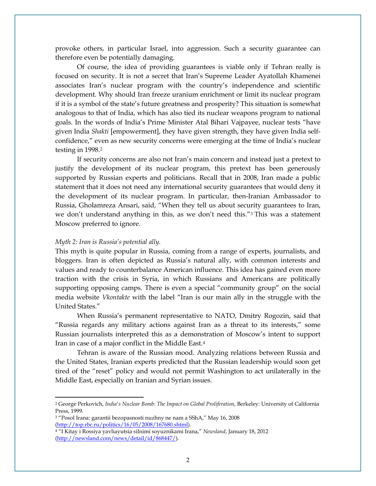provoke others, in particular Israel, into aggression. Such a security guarantee can therefore even be potentially damaging.

Of course, the idea of providing guarantees is viable only if Tehran really is focused on security. It is not a secret that Iran's Supreme Leader Ayatollah Khamenei associates Iran's nuclear program with the country's independence and scientific development. Why should Iran freeze uranium enrichment or limit its nuclear program if it is a symbol of the state's future greatness and prosperity? This situation is somewhat analogous to that of India, which has also tied its nuclear weapons program to national goals. In the words of India's Prime Minister Atal Bihari Vajpayee, nuclear tests "have given India *Shakti* [empowerment], they have given strength, they have given India selfconfidence," even as new security concerns were emerging at the time of India's nuclear testing in 1998.<sup>[2](#page-1-0)</sup>

If security concerns are also not Iran's main concern and instead just a pretext to justify the development of its nuclear program, this pretext has been generously supported by Russian experts and politicians. Recall that in 2008, Iran made a public statement that it does not need any international security guarantees that would deny it the development of its nuclear program. In particular, then-Iranian Ambassador to Russia, Gholamreza Ansari, said, "When they tell us about security guarantees to Iran, we don't understand anything in this, as we don't need this."[3](#page-1-1) This was a statement Moscow preferred to ignore.

#### *Myth 2: Iran is Russia's potential ally.*

 $\overline{\phantom{a}}$ 

This myth is quite popular in Russia, coming from a range of experts, journalists, and bloggers. Iran is often depicted as Russia's natural ally, with common interests and values and ready to counterbalance American influence. This idea has gained even more traction with the crisis in Syria, in which Russians and Americans are politically supporting opposing camps. There is even a special "community group" on the social media website *Vkontakte* with the label "Iran is our main ally in the struggle with the United States."

When Russia's permanent representative to NATO, Dmitry Rogozin, said that "Russia regards any military actions against Iran as a threat to its interests," some Russian journalists interpreted this as a demonstration of Moscow's intent to support Iran in case of a major conflict in the Middle East.[4](#page-1-2)

Tehran is aware of the Russian mood. Analyzing relations between Russia and the United States, Iranian experts predicted that the Russian leadership would soon get tired of the "reset" policy and would not permit Washington to act unilaterally in the Middle East, especially on Iranian and Syrian issues.

<span id="page-1-0"></span><sup>2</sup> George Perkovich, *India's Nuclear Bomb: The Impact on Global Proliferation,* Berkeley: University of California Press, 1999.

<span id="page-1-1"></span><sup>3</sup> "Posol Irana: garantii bezopasnosti nuzhny ne nam a SShA," May 16, 2008 [\(http://top.rbc.ru/politics/16/05/2008/167680.shtml\)](http://top.rbc.ru/politics/16/05/2008/167680.shtml).

<span id="page-1-2"></span><sup>4</sup> "I Kitay i Rossiya yavliayutsia silnimi soyuznikami Irana," *Newsland*, January 18, 2012 [\(http://newsland.com/news/detail/id/868447/\)](http://newsland.com/news/detail/id/868447/).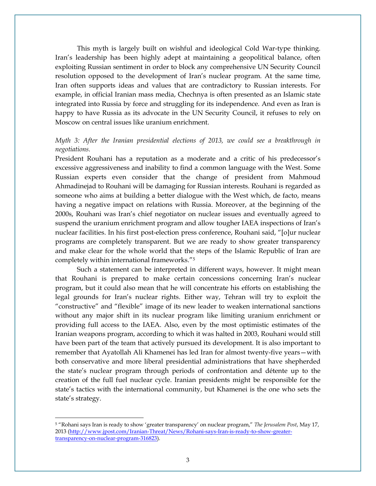This myth is largely built on wishful and ideological Cold War-type thinking. Iran's leadership has been highly adept at maintaining a geopolitical balance, often exploiting Russian sentiment in order to block any comprehensive UN Security Council resolution opposed to the development of Iran's nuclear program. At the same time, Iran often supports ideas and values that are contradictory to Russian interests. For example, in official Iranian mass media, Chechnya is often presented as an Islamic state integrated into Russia by force and struggling for its independence. And even as Iran is happy to have Russia as its advocate in the UN Security Council, it refuses to rely on Moscow on central issues like uranium enrichment.

## *Myth 3: After the Iranian presidential elections of 2013, we could see a breakthrough in negotiations.*

President Rouhani has a reputation as a moderate and a critic of his predecessor's excessive aggressiveness and inability to find a common language with the West. Some Russian experts even consider that the change of president from Mahmoud Ahmadinejad to Rouhani will be damaging for Russian interests. Rouhani is regarded as someone who aims at building a better dialogue with the West which, de facto, means having a negative impact on relations with Russia. Moreover, at the beginning of the 2000s, Rouhani was Iran's chief negotiator on nuclear issues and eventually agreed to suspend the uranium enrichment program and allow tougher IAEA inspections of Iran's nuclear facilities. In his first post-election press conference, Rouhani said, "[o]ur nuclear programs are completely transparent. But we are ready to show greater transparency and make clear for the whole world that the steps of the Islamic Republic of Iran are completely within international frameworks."[5](#page-2-0)

Such a statement can be interpreted in different ways, however. It might mean that Rouhani is prepared to make certain concessions concerning Iran's nuclear program, but it could also mean that he will concentrate his efforts on establishing the legal grounds for Iran's nuclear rights. Either way, Tehran will try to exploit the "constructive" and "flexible" image of its new leader to weaken international sanctions without any major shift in its nuclear program like limiting uranium enrichment or providing full access to the IAEA. Also, even by the most optimistic estimates of the Iranian weapons program, according to which it was halted in 2003, Rouhani would still have been part of the team that actively pursued its development. It is also important to remember that Ayatollah Ali Khamenei has led Iran for almost twenty-five years—with both conservative and more liberal presidential administrations that have shepherded the state's nuclear program through periods of confrontation and détente up to the creation of the full fuel nuclear cycle. Iranian presidents might be responsible for the state's tactics with the international community, but Khamenei is the one who sets the state's strategy.

 $\overline{\phantom{a}}$ 

<span id="page-2-0"></span><sup>5</sup> "Rohani says Iran is ready to show 'greater transparency' on nuclear program," *The Jerusalem Post*, May 17, 2013 [\(http://www.jpost.com/Iranian-Threat/News/Rohani-says-Iran-is-ready-to-show-greater](http://www.jpost.com/Iranian-Threat/News/Rohani-says-Iran-is-ready-to-show-greater-transparency-on-nuclear-program-316823)[transparency-on-nuclear-program-316823\)](http://www.jpost.com/Iranian-Threat/News/Rohani-says-Iran-is-ready-to-show-greater-transparency-on-nuclear-program-316823).